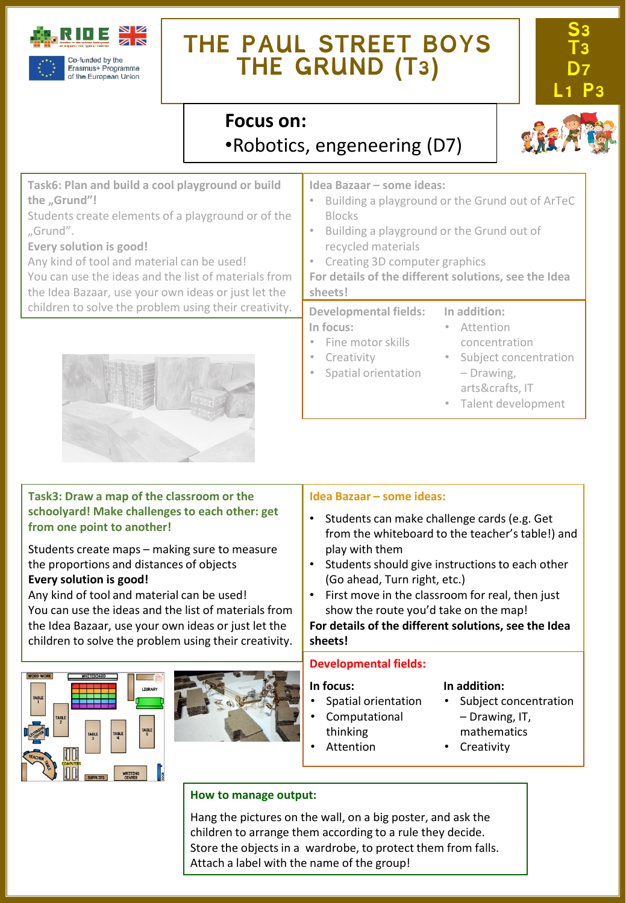

# **THE PAUL STREET BOYS THE GRUND (T3)**



### **Focus on:**  •Robotics, engeneering (D7)

**Task6: Plan and build a cool playground or build the "Grund"!**

Students create elements of a playground or of the "Grund".

**Every solution is good!**

Any kind of tool and material can be used!

You can use the ideas and the list of materials from the Idea Bazaar, use your own ideas or just let the children to solve the problem using their creativity.



#### **Task3: Draw a map of the classroom or the schoolyard! Make challenges to each other: get from one point to another!**

Students create maps – making sure to measure the proportions and distances of objects **Every solution is good!**

Any kind of tool and material can be used! You can use the ideas and the list of materials from the Idea Bazaar, use your own ideas or just let the children to solve the problem using their creativity.





#### **Idea Bazaar – some ideas:**

- Building a playground or the Grund out of ArTeC Blocks
- Building a playground or the Grund out of recycled materials
- Creating 3D computer graphics
- **For details of the different solutions, see the Idea sheets!**

#### **Developmental fields: In focus:** • Fine motor skills **In addition:** • Attention concentration

- **Creativity** • Spatial orientation
- Subject concentration – Drawing,
	- arts&crafts, IT
	- Talent development

#### **Idea Bazaar – some ideas:**

- Students can make challenge cards (e.g. Get from the whiteboard to the teacher's table!) and play with them
- Students should give instructions to each other (Go ahead, Turn right, etc.)
- First move in the classroom for real, then just show the route you'd take on the map!

**For details of the different solutions, see the Idea sheets!**

#### **Developmental fields:**

#### **In focus:**

- Spatial orientation
- Computational
- thinking
	- Attention

#### **In addition:**

- Subject concentration – Drawing, IT, mathematics
- 
- **Creativity**

#### **How to manage output:**

Hang the pictures on the wall, on a big poster, and ask the children to arrange them according to a rule they decide. Store the objects in a wardrobe, to protect them from falls. Attach a label with the name of the group!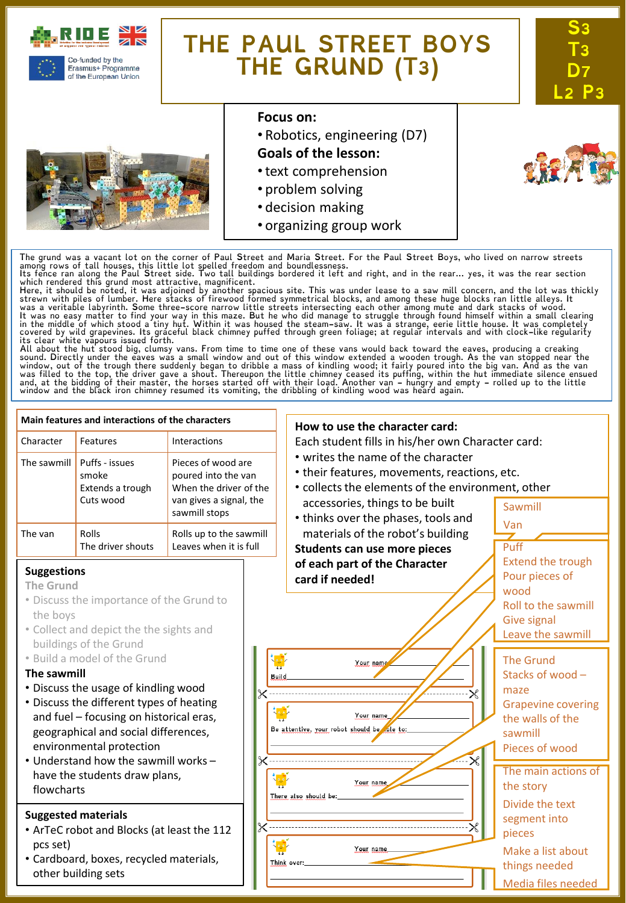

of the European Union

# **THE PAUL STREET BOYS THE GRUND (T3)**





#### **Focus on:**

• Robotics, engineering (D7)

#### **Goals of the lesson:**

- •text comprehension
- problem solving
- decision making
- organizing group work



The grund was a vacant lot on the corner of Paul Street and Maria Street. For the Paul Street Boys, who lived on narrow streets<br>among rows of tall houses, this little lot spelled freedom and boundlessness.<br>Its fence ran al

which rendered this grund most attractive, magnificent.<br>Here, it should be noted, it was adjoined by another spacious site. This was under lease to a saw mill concern, and the lot was thickly<br>Here, it should be noted, it w

sound. Directly under the eaves was a small window and out of this window extended a wooden trough. As the van stopped near the<br>window, out of the trough there suddenly began to dribble a mass of kindling wood; it fairly p

| Main features and interactions of the characters                                                                                                                                                                                                                                                                                                                                                                                                              |                                                                                                                                                                             |                                                   |                                      | How to use the character card:                                                                                                                                                                                                                                                    |                                                                                                                                                                                                                                                   |
|---------------------------------------------------------------------------------------------------------------------------------------------------------------------------------------------------------------------------------------------------------------------------------------------------------------------------------------------------------------------------------------------------------------------------------------------------------------|-----------------------------------------------------------------------------------------------------------------------------------------------------------------------------|---------------------------------------------------|--------------------------------------|-----------------------------------------------------------------------------------------------------------------------------------------------------------------------------------------------------------------------------------------------------------------------------------|---------------------------------------------------------------------------------------------------------------------------------------------------------------------------------------------------------------------------------------------------|
| Character                                                                                                                                                                                                                                                                                                                                                                                                                                                     | Features                                                                                                                                                                    | <b>Interactions</b>                               |                                      | Each student fills in his/her own Character card:<br>• writes the name of the character<br>• their features, movements, reactions, etc.<br>• collects the elements of the environment, other<br>accessories, things to be built<br>Sawmill<br>• thinks over the phases, tools and |                                                                                                                                                                                                                                                   |
| The sawmill                                                                                                                                                                                                                                                                                                                                                                                                                                                   | Puffs - issues<br>Pieces of wood are<br>poured into the van<br>smoke<br>When the driver of the<br>Extends a trough<br>Cuts wood<br>van gives a signal, the<br>sawmill stops |                                                   |                                      |                                                                                                                                                                                                                                                                                   |                                                                                                                                                                                                                                                   |
| The van                                                                                                                                                                                                                                                                                                                                                                                                                                                       | Rolls<br>The driver shouts                                                                                                                                                  | Rolls up to the sawmill<br>Leaves when it is full |                                      | materials of the robot's building<br>Students can use more pieces                                                                                                                                                                                                                 | Van<br>Puff                                                                                                                                                                                                                                       |
| <b>Suggestions</b><br><b>The Grund</b><br>• Discuss the importance of the Grund to<br>the boys<br>• Collect and depict the the sights and<br>buildings of the Grund<br>. Build a model of the Grund<br>The sawmill<br>• Discuss the usage of kindling wood<br>• Discuss the different types of heating<br>and fuel - focusing on historical eras,<br>geographical and social differences,<br>environmental protection<br>. Understand how the sawmill works - |                                                                                                                                                                             |                                                   |                                      | of each part of the Character<br>card if needed!<br>أقا<br>Your name<br>Build<br>$\times$<br>Your name<br>Be attentive, your robot should be be to:<br>$\mathbb{R}$<br>X --------------------------                                                                               | <b>Extend the trough</b><br>Pour pieces of<br>wood<br>Roll to the sawmill<br><b>Give signal</b><br>Leave the sawmill<br><b>The Grund</b><br>Stacks of wood-<br>maze<br><b>Grapevine covering</b><br>the walls of the<br>sawmill<br>Pieces of wood |
| have the students draw plans,<br>flowcharts                                                                                                                                                                                                                                                                                                                                                                                                                   |                                                                                                                                                                             |                                                   |                                      | Your name<br>There also should be:                                                                                                                                                                                                                                                | The main actions of<br>the story<br>Divide the text                                                                                                                                                                                               |
| <b>Suggested materials</b><br>• ArTeC robot and Blocks (at least the 112<br>pcs set)<br>• Cardboard, boxes, recycled materials,<br>other building sets                                                                                                                                                                                                                                                                                                        |                                                                                                                                                                             |                                                   | $\times$<br>Your name<br>Think over: |                                                                                                                                                                                                                                                                                   | segment into<br>pieces<br>Make a list about<br>things needed<br>Media files needed                                                                                                                                                                |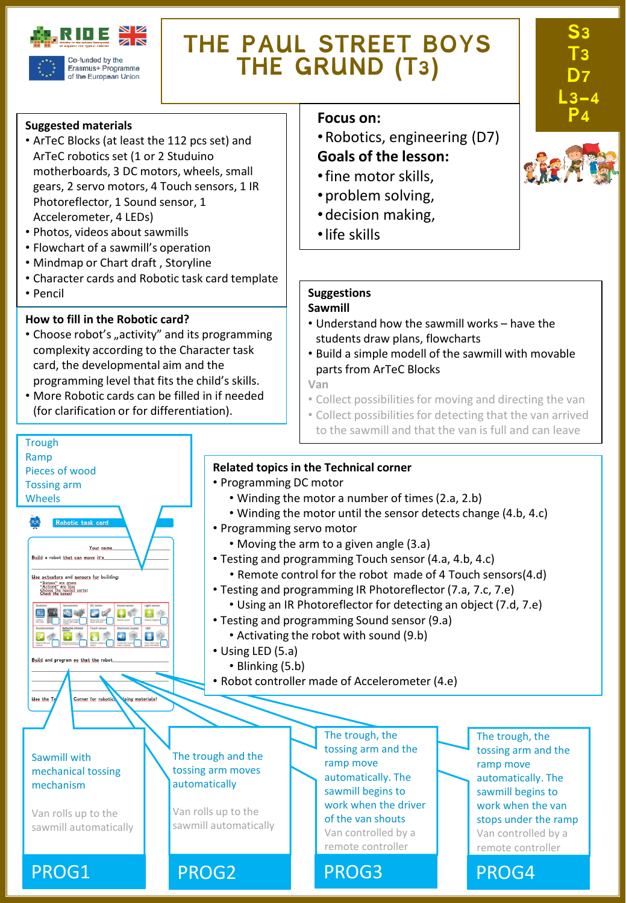

Erasmus+ Programme of the European Union

# **THE PAUL STREET BOYS THE GRUND (T3)**

#### **Suggested materials**

- ArTeC Blocks (at least the 112 pcs set) and ArTeC robotics set (1 or 2 Studuino motherboards, 3 DC motors, wheels, small gears, 2 servo motors, 4 Touch sensors, 1 IR Photoreflector, 1 Sound sensor, 1 Accelerometer, 4 LEDs)
- Photos, videos about sawmills
- Flowchart of a sawmill's operation
- Mindmap or Chart draft , Storyline
- Character cards and Robotic task card template
- Pencil

**Trough** Ramp

Pieces of wood Tossing arm Wheels

Build a robot that can move it's Use actuators and sensors for building "Senses" are green<br>"Actions" are blue<br>Chace the hovest parts!

国王国学区长

 $\bullet$ 

Your ni

 $\mathbf{B}$ 

Corner for robotie

ing materials

#### **How to fill in the Robotic card?**

- Choose robot's "activity" and its programming complexity according to the Character task card, the developmental aim and the programming level that fits the child's skills.
- More Robotic cards can be filled in if needed (for clarification or for differentiation).

#### **Focus** on:

- •Robotics, engineering (D7) **Goals of the lesson:**
- •fine motor skills,
- •problem solving,
- •decision making,
- •life skills

### **Suggestions**

#### **Sawmill**

- Understand how the sawmill works have the students draw plans, flowcharts
- Build a simple modell of the sawmill with movable parts from ArTeC Blocks

**Van**

- Collect possibilities for moving and directing the van
- Collect possibilities for detecting that the van arrived to the sawmill and that the van is full and can leave

#### **Related topics in the Technical corner**

- Programming DC motor
	- Winding the motor a number of times(2.a, 2.b)
	- Winding the motor until the sensor detects change (4.b, 4.c)
- Programming servo motor
	- Moving the arm to a given angle (3.a)
- Testing and programming Touch sensor (4.a, 4.b, 4.c)
	- Remote control for the robot made of 4 Touch sensors(4.d)
- Testing and programming IR Photoreflector (7.a, 7.c, 7.e)
	- Using an IR Photoreflector for detecting an object (7.d, 7.e)
- Testing and programming Sound sensor (9.a)
	- Activating the robot with sound (9.b)
- Using LED (5.a)
	- Blinking (5.b)
- Robot controller made of Accelerometer (4.e)

The trough and the tossing arm moves automatically

Van rolls up to the sawmill automatically The trough, the tossing arm and the ramp move automatically. The sawmill begins to work when the driver of the van shouts Van controlled by a remote controller

The trough, the tossing arm and the ramp move automatically. The sawmill begins to work when the van stops under the ramp Van controlled by a remote controller



**S3** 

**T3 D7 L3-4** 







Van rolls up to the sawmill automatically

Sawmill with mechanical tossing mechanism

Use the L